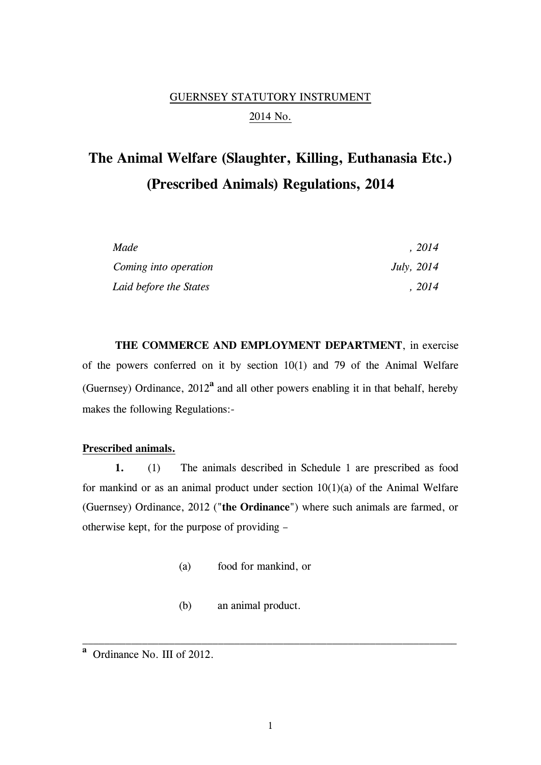# GUERNSEY STATUTORY INSTRUMENT 2014 No.

# **The Animal Welfare (Slaughter, Killing, Euthanasia Etc.) (Prescribed Animals) Regulations, 2014**

| Made                   | .2014        |
|------------------------|--------------|
| Coming into operation  | July, $2014$ |
| Laid before the States | , 2014       |

**THE COMMERCE AND EMPLOYMENT DEPARTMENT**, in exercise of the powers conferred on it by section 10(1) and 79 of the Animal Welfare (Guernsey) Ordinance, 2012**<sup>a</sup>** and all other powers enabling it in that behalf, hereby makes the following Regulations:-

#### **Prescribed animals.**

**1.** (1) The animals described in Schedule 1 are prescribed as food for mankind or as an animal product under section  $10(1)(a)$  of the Animal Welfare (Guernsey) Ordinance, 2012 ("**the Ordinance**") where such animals are farmed, or otherwise kept, for the purpose of providing –

- (a) food for mankind, or
- (b) an animal product.

**a** Ordinance No. III of 2012.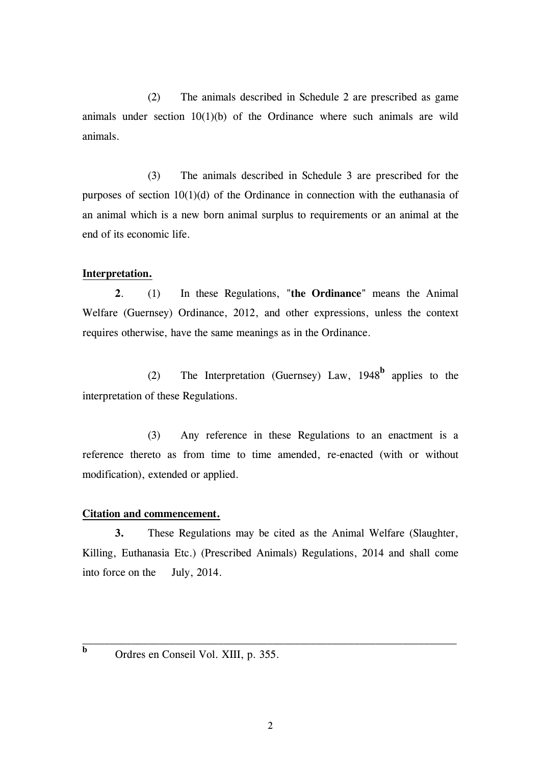(2) The animals described in Schedule 2 are prescribed as game animals under section  $10(1)(b)$  of the Ordinance where such animals are wild animals.

(3) The animals described in Schedule 3 are prescribed for the purposes of section 10(1)(d) of the Ordinance in connection with the euthanasia of an animal which is a new born animal surplus to requirements or an animal at the end of its economic life.

### **Interpretation.**

**2**. (1) In these Regulations, "**the Ordinance**" means the Animal Welfare (Guernsey) Ordinance, 2012, and other expressions, unless the context requires otherwise, have the same meanings as in the Ordinance.

(2) The Interpretation (Guernsey) Law, 1948**<sup>b</sup>** applies to the interpretation of these Regulations.

(3) Any reference in these Regulations to an enactment is a reference thereto as from time to time amended, re-enacted (with or without modification), extended or applied.

### **Citation and commencement.**

**3.** These Regulations may be cited as the Animal Welfare (Slaughter, Killing, Euthanasia Etc.) (Prescribed Animals) Regulations, 2014 and shall come into force on the July, 2014.

Ordres en Conseil Vol. XIII, p. 355.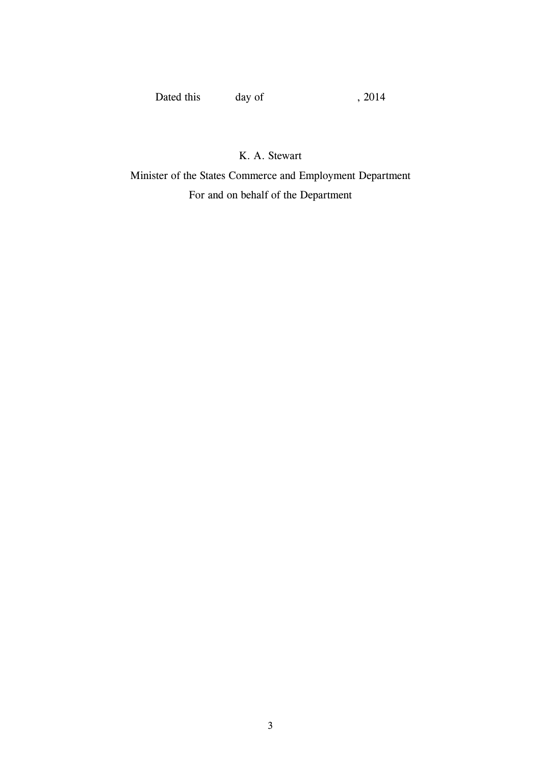Dated this day of , 2014

K. A. Stewart

Minister of the States Commerce and Employment Department For and on behalf of the Department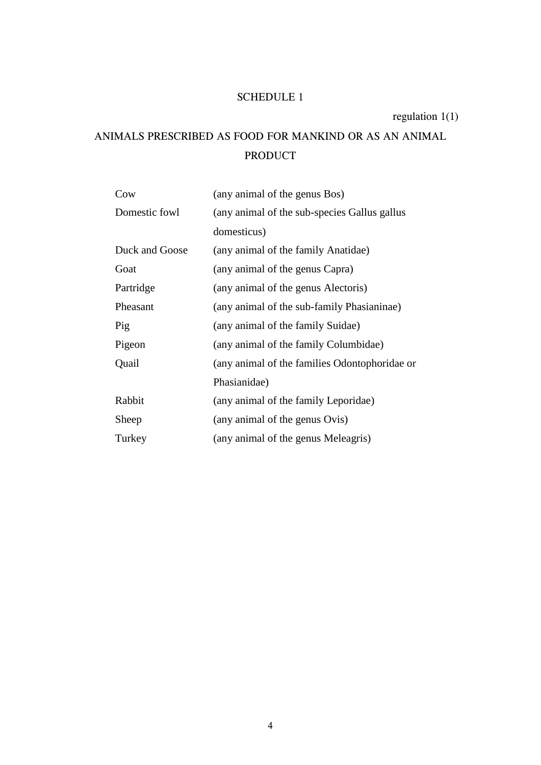# SCHEDULE 1

regulation 1(1)

# ANIMALS PRESCRIBED AS FOOD FOR MANKIND OR AS AN ANIMAL PRODUCT

| Cow            | (any animal of the genus Bos)                 |
|----------------|-----------------------------------------------|
| Domestic fowl  | (any animal of the sub-species Gallus gallus) |
|                | domesticus)                                   |
| Duck and Goose | (any animal of the family Anatidae)           |
| Goat           | (any animal of the genus Capra)               |
| Partridge      | (any animal of the genus Alectoris)           |
| Pheasant       | (any animal of the sub-family Phasianinae)    |
| Pig            | (any animal of the family Suidae)             |
| Pigeon         | (any animal of the family Columbidae)         |
| Quail          | (any animal of the families Odontophoridae or |
|                | Phasianidae)                                  |
| Rabbit         | (any animal of the family Leporidae)          |
| Sheep          | (any animal of the genus Ovis)                |
| Turkey         | (any animal of the genus Meleagris)           |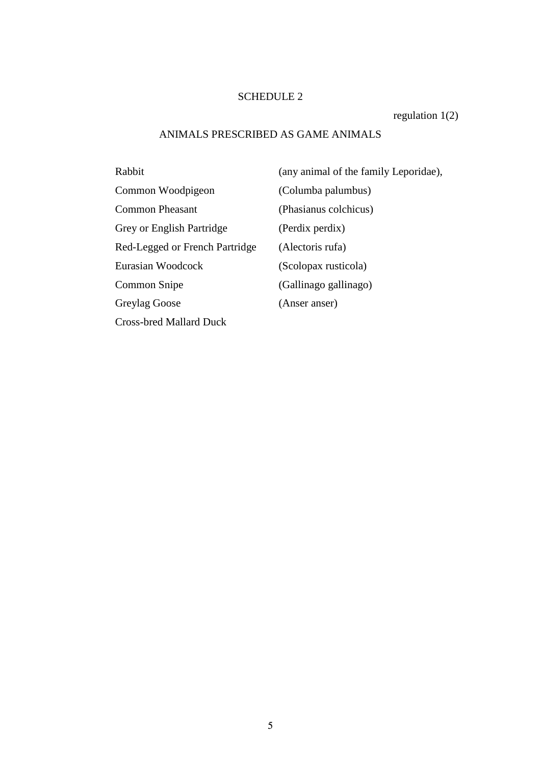### SCHEDULE 2

regulation 1(2)

### ANIMALS PRESCRIBED AS GAME ANIMALS

| Rabbit                         | $\mathfrak{c}$             |
|--------------------------------|----------------------------|
| Common Woodpigeon              | $\mathcal{O}(\mathcal{O})$ |
| <b>Common Pheasant</b>         | $\left($                   |
| Grey or English Partridge      | $\left($                   |
| Red-Legged or French Partridge | $\overline{(\cdot)}$       |
| Eurasian Woodcock              | $\mathcal{C}$              |
| Common Snipe                   | $\mathcal{O}(\mathcal{O})$ |
| Greylag Goose                  | $\overline{(\cdot)}$       |
| <b>Cross-bred Mallard Duck</b> |                            |

(any animal of the family Leporidae), Columba palumbus) Phasianus colchicus) (Perdix perdix) Alectoris rufa) Scolopax rusticola) Gallinago gallinago) (Anser anser)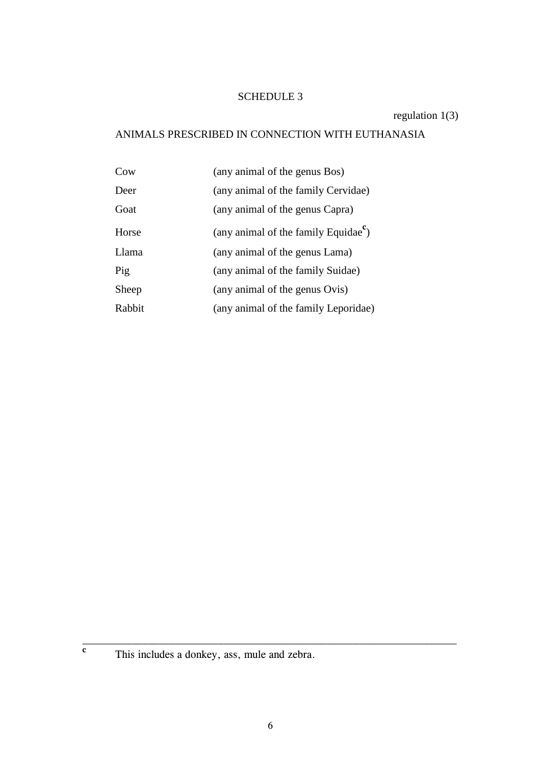### SCHEDULE 3

regulation 1(3)

## ANIMALS PRESCRIBED IN CONNECTION WITH EUTHANASIA

| Cow    | (any animal of the genus Bos)                    |
|--------|--------------------------------------------------|
| Deer   | (any animal of the family Cervidae)              |
| Goat   | (any animal of the genus Capra)                  |
| Horse  | (any animal of the family Equidae <sup>c</sup> ) |
| Llama  | (any animal of the genus Lama)                   |
| Pig    | (any animal of the family Suidae)                |
| Sheep  | (any animal of the genus Ovis)                   |
| Rabbit | (any animal of the family Leporidae)             |

**c**

This includes a donkey, ass, mule and zebra.